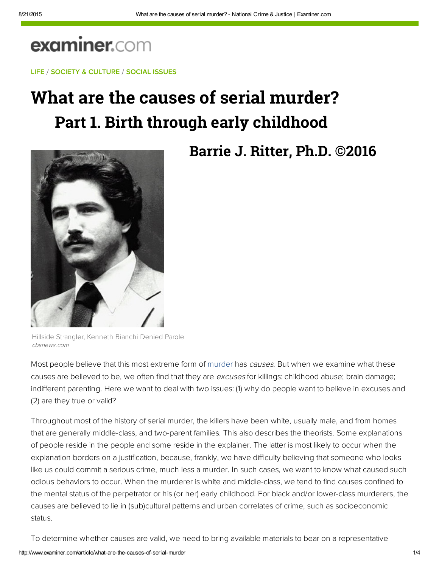# examiner.com

LIFE / SOCIETY & CULTURE / SOCIAL ISSUES

# What are the causes of serial murder? **Part 1. Birth through early childhood**



## **Barrie J. Ritter, Ph.D. ©2016**

Hillside Strangler, Kenneth Bianchi Denied Parole cbsnews.com

Most people believe that this most extreme form of murder has causes. But when we examine what these causes are believed to be, we often find that they are excuses for killings: childhood abuse; brain damage; indifferent parenting. Here we want to deal with two issues: (1) why do people want to believe in excuses and (2) are they true or valid?

Throughout most of the history of serial murder, the killers have been white, usually male, and from homes that are generally middle-class, and two-parent families. This also describes the theorists. Some explanations of people reside in the people and some reside in the explainer. The latter is most likely to occur when the explanation borders on a justification, because, frankly, we have difficulty believing that someone who looks like us could commit a serious crime, much less a murder. In such cases, we want to know what caused such odious behaviors to occur. When the murderer is white and middle-class, we tend to find causes confined to the mental status of the perpetrator or his (or her) early childhood. For black and/or lower-class murderers, the causes are believed to lie in (sub)cultural patterns and urban correlates of crime, such as socioeconomic status.

To determine whether causes are valid, we need to bring available materials to bear on a representative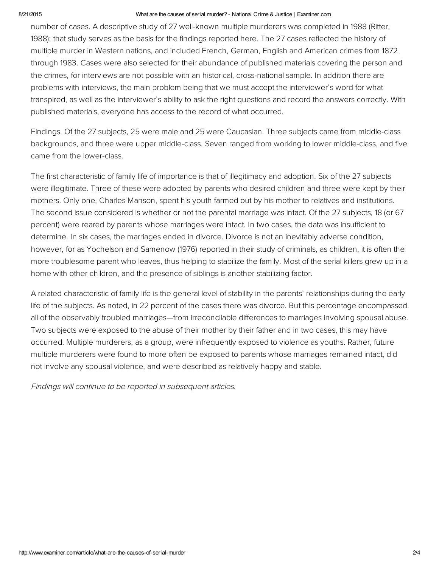#### 8/21/2015 What are the causes of serial murder? National Crime & Justice | Examiner.com

number of cases. A descriptive study of 27 well-known multiple murderers was completed in 1988 (Ritter, 1988); that study serves as the basis for the findings reported here. The 27 cases reflected the history of multiple murder in Western nations, and included French, German, English and American crimes from 1872 through 1983. Cases were also selected for their abundance of published materials covering the person and the crimes, for interviews are not possible with an historical, cross-national sample. In addition there are problems with interviews, the main problem being that we must accept the interviewer's word for what transpired, as well as the interviewer's ability to ask the right questions and record the answers correctly. With published materials, everyone has access to the record of what occurred.

Findings. Of the 27 subjects, 25 were male and 25 were Caucasian. Three subjects came from middle-class backgrounds, and three were upper middle-class. Seven ranged from working to lower middle-class, and five came from the lower-class.

The first characteristic of family life of importance is that of illegitimacy and adoption. Six of the 27 subjects were illegitimate. Three of these were adopted by parents who desired children and three were kept by their mothers. Only one, Charles Manson, spent his youth farmed out by his mother to relatives and institutions. The second issue considered is whether or not the parental marriage was intact. Of the 27 subjects, 18 (or 67 percent) were reared by parents whose marriages were intact. In two cases, the data was insufficient to determine. In six cases, the marriages ended in divorce. Divorce is not an inevitably adverse condition, however, for as Yochelson and Samenow (1976) reported in their study of criminals, as children, it is often the more troublesome parent who leaves, thus helping to stabilize the family. Most of the serial killers grew up in a home with other children, and the presence of siblings is another stabilizing factor.

A related characteristic of family life is the general level of stability in the parents' relationships during the early life of the subjects. As noted, in 22 percent of the cases there was divorce. But this percentage encompassed all of the observably troubled marriages—from irreconcilable differences to marriages involving spousal abuse. Two subjects were exposed to the abuse of their mother by their father and in two cases, this may have occurred. Multiple murderers, as a group, were infrequently exposed to violence as youths. Rather, future multiple murderers were found to more often be exposed to parents whose marriages remained intact, did not involve any spousal violence, and were described as relatively happy and stable.

Findings will continue to be reported in subsequent articles.